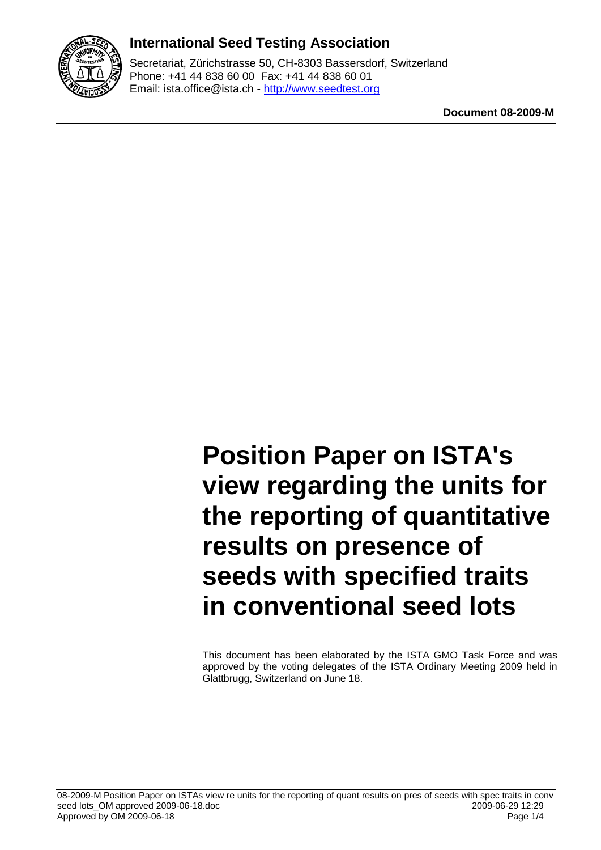

### **International Seed Testing Association**

Secretariat, Zürichstrasse 50, CH-8303 Bassersdorf, Switzerland Phone: +41 44 838 60 00 Fax: +41 44 838 60 01 Email: ista.office@ista.ch - http://www.seedtest.org

**Document 08-2009-M**

# **Position Paper on ISTA's view regarding the units for the reporting of quantitative results on presence of seeds with specified traits in conventional seed lots**

This document has been elaborated by the ISTA GMO Task Force and was approved by the voting delegates of the ISTA Ordinary Meeting 2009 held in Glattbrugg, Switzerland on June 18.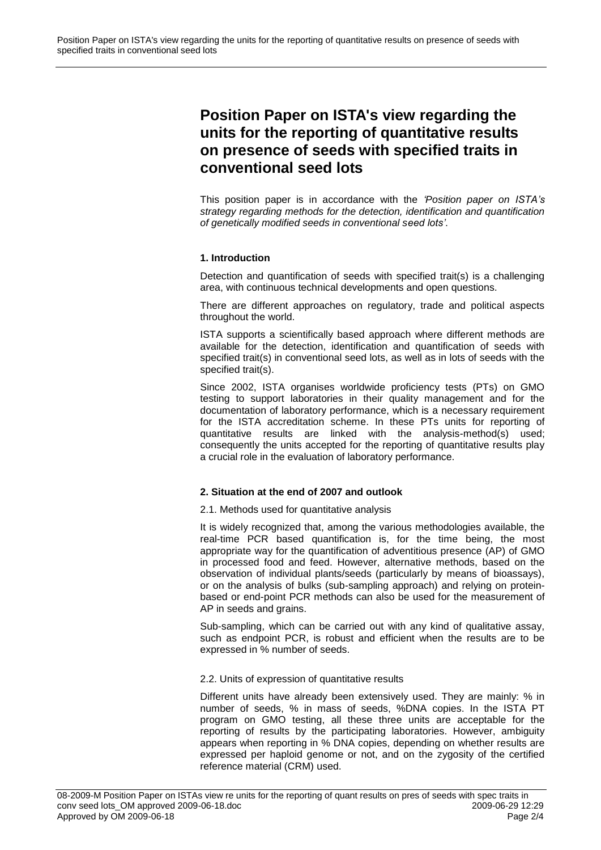## **Position Paper on ISTA's view regarding the units for the reporting of quantitative results on presence of seeds with specified traits in conventional seed lots**

This position paper is in accordance with the *'Position paper on ISTA's strategy regarding methods for the detection, identification and quantification of genetically modified seeds in conventional seed lots'*.

#### **1. Introduction**

Detection and quantification of seeds with specified trait(s) is a challenging area, with continuous technical developments and open questions.

There are different approaches on regulatory, trade and political aspects throughout the world.

ISTA supports a scientifically based approach where different methods are available for the detection, identification and quantification of seeds with specified trait(s) in conventional seed lots, as well as in lots of seeds with the specified trait(s).

Since 2002, ISTA organises worldwide proficiency tests (PTs) on GMO testing to support laboratories in their quality management and for the documentation of laboratory performance, which is a necessary requirement for the ISTA accreditation scheme. In these PTs units for reporting of quantitative results are linked with the analysis-method(s) used; consequently the units accepted for the reporting of quantitative results play a crucial role in the evaluation of laboratory performance.

#### **2. Situation at the end of 2007 and outlook**

2.1. Methods used for quantitative analysis

It is widely recognized that, among the various methodologies available, the real-time PCR based quantification is, for the time being, the most appropriate way for the quantification of adventitious presence (AP) of GMO in processed food and feed. However, alternative methods, based on the observation of individual plants/seeds (particularly by means of bioassays), or on the analysis of bulks (sub-sampling approach) and relying on proteinbased or end-point PCR methods can also be used for the measurement of AP in seeds and grains.

Sub-sampling, which can be carried out with any kind of qualitative assay, such as endpoint PCR, is robust and efficient when the results are to be expressed in % number of seeds.

#### 2.2. Units of expression of quantitative results

Different units have already been extensively used. They are mainly: % in number of seeds, % in mass of seeds, %DNA copies. In the ISTA PT program on GMO testing, all these three units are acceptable for the reporting of results by the participating laboratories. However, ambiguity appears when reporting in % DNA copies, depending on whether results are expressed per haploid genome or not, and on the zygosity of the certified reference material (CRM) used.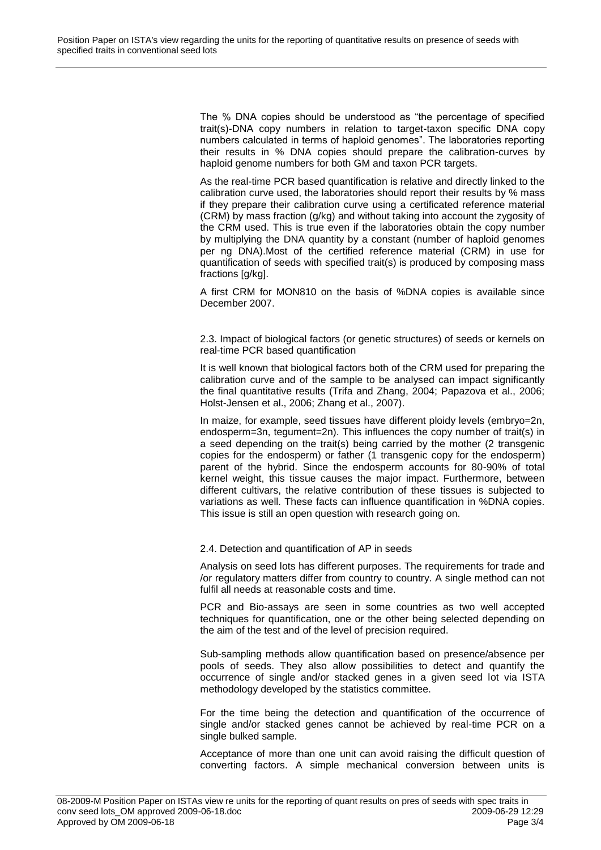The % DNA copies should be understood as "the percentage of specified trait(s)-DNA copy numbers in relation to target-taxon specific DNA copy numbers calculated in terms of haploid genomes". The laboratories reporting their results in % DNA copies should prepare the calibration-curves by haploid genome numbers for both GM and taxon PCR targets.

As the real-time PCR based quantification is relative and directly linked to the calibration curve used, the laboratories should report their results by % mass if they prepare their calibration curve using a certificated reference material (CRM) by mass fraction (g/kg) and without taking into account the zygosity of the CRM used. This is true even if the laboratories obtain the copy number by multiplying the DNA quantity by a constant (number of haploid genomes per ng DNA).Most of the certified reference material (CRM) in use for quantification of seeds with specified trait(s) is produced by composing mass fractions [g/kg].

A first CRM for MON810 on the basis of %DNA copies is available since December 2007.

2.3. Impact of biological factors (or genetic structures) of seeds or kernels on real-time PCR based quantification

It is well known that biological factors both of the CRM used for preparing the calibration curve and of the sample to be analysed can impact significantly the final quantitative results (Trifa and Zhang, 2004; Papazova et al., 2006; Holst-Jensen et al., 2006; Zhang et al., 2007).

In maize, for example, seed tissues have different ploidy levels (embryo=2n, endosperm=3n, tegument=2n). This influences the copy number of trait(s) in a seed depending on the trait(s) being carried by the mother (2 transgenic copies for the endosperm) or father (1 transgenic copy for the endosperm) parent of the hybrid. Since the endosperm accounts for 80-90% of total kernel weight, this tissue causes the major impact. Furthermore, between different cultivars, the relative contribution of these tissues is subjected to variations as well. These facts can influence quantification in %DNA copies. This issue is still an open question with research going on.

#### 2.4. Detection and quantification of AP in seeds

Analysis on seed lots has different purposes. The requirements for trade and /or regulatory matters differ from country to country. A single method can not fulfil all needs at reasonable costs and time.

PCR and Bio-assays are seen in some countries as two well accepted techniques for quantification, one or the other being selected depending on the aim of the test and of the level of precision required.

Sub-sampling methods allow quantification based on presence/absence per pools of seeds. They also allow possibilities to detect and quantify the occurrence of single and/or stacked genes in a given seed lot via ISTA methodology developed by the statistics committee.

For the time being the detection and quantification of the occurrence of single and/or stacked genes cannot be achieved by real-time PCR on a single bulked sample.

Acceptance of more than one unit can avoid raising the difficult question of converting factors. A simple mechanical conversion between units is